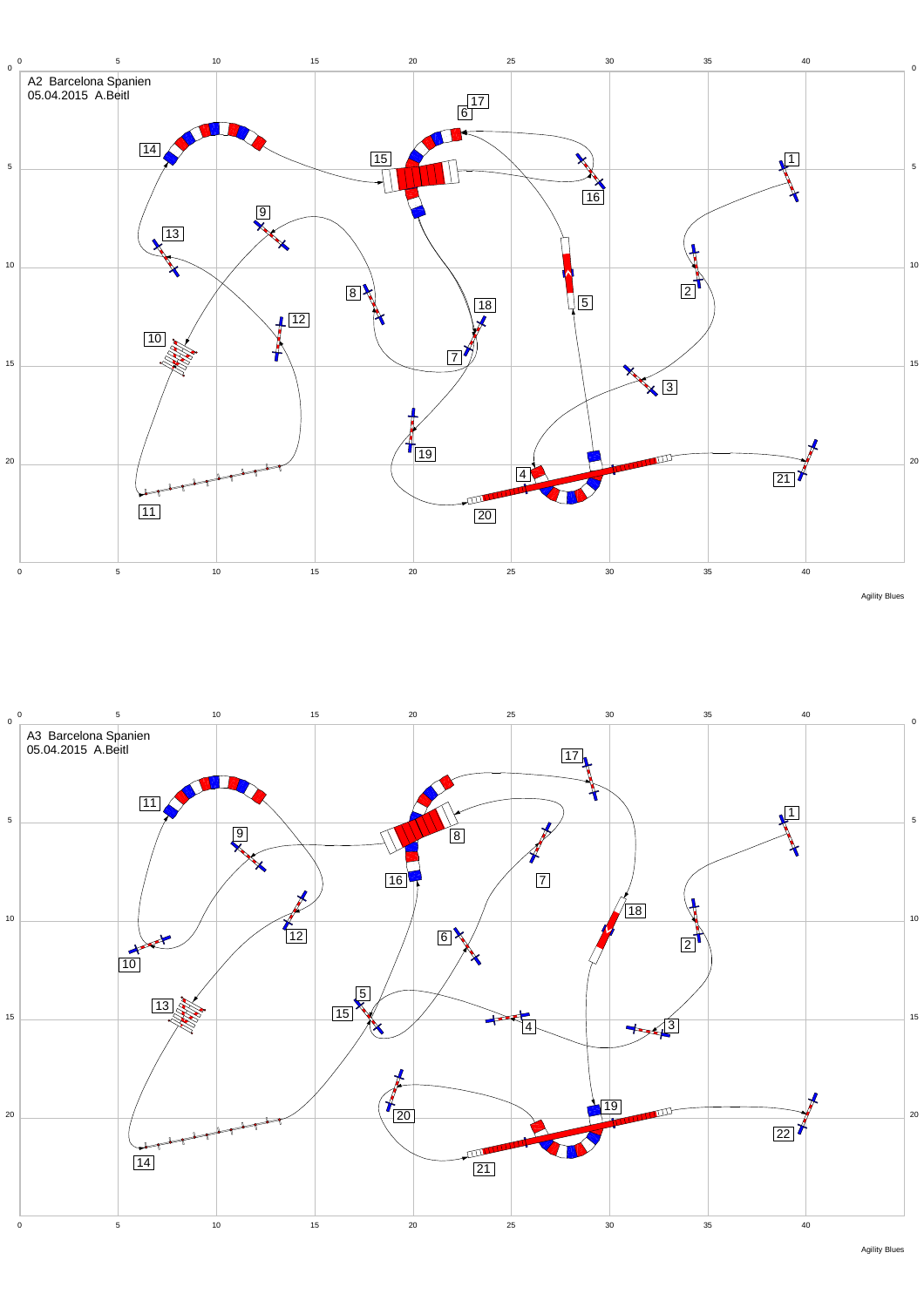



Agility Blues